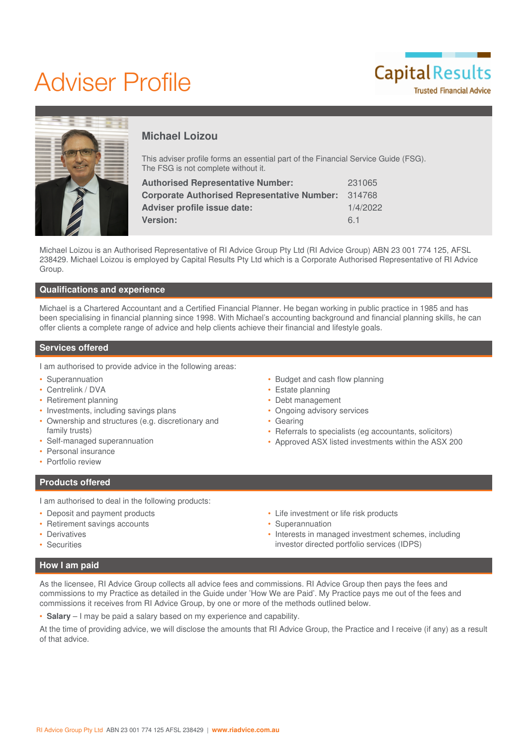# Adviser Profile





# **Michael Loizou**

This adviser profile forms an essential part of the Financial Service Guide (FSG). The FSG is not complete without it.

| 231065   |
|----------|
| 314768   |
| 1/4/2022 |
| 61       |
|          |

Michael Loizou is an Authorised Representative of RI Advice Group Pty Ltd (RI Advice Group) ABN 23 001 774 125, AFSL 238429. Michael Loizou is employed by Capital Results Pty Ltd which is a Corporate Authorised Representative of RI Advice Group.

### **Qualifications and experience**

Michael is a Chartered Accountant and a Certified Financial Planner. He began working in public practice in 1985 and has been specialising in financial planning since 1998. With Michael's accounting background and financial planning skills, he can offer clients a complete range of advice and help clients achieve their financial and lifestyle goals.

#### **Services offered**

I am authorised to provide advice in the following areas:

- Superannuation
- Centrelink / DVA
- Retirement planning
- Investments, including savings plans
- Ownership and structures (e.g. discretionary and family trusts)
- Self-managed superannuation
- Personal insurance
- Portfolio review

### **Products offered**

I am authorised to deal in the following products:

- Deposit and payment products
- Retirement savings accounts
- Derivatives
- Securities
- Budget and cash flow planning
- Estate planning
- Debt management
- Ongoing advisory services
- Gearing
- Referrals to specialists (eg accountants, solicitors)
- Approved ASX listed investments within the ASX 200
- Life investment or life risk products
- Superannuation
- Interests in managed investment schemes, including investor directed portfolio services (IDPS)

### **How I am paid**

As the licensee, RI Advice Group collects all advice fees and commissions. RI Advice Group then pays the fees and commissions to my Practice as detailed in the Guide under 'How We are Paid'. My Practice pays me out of the fees and commissions it receives from RI Advice Group, by one or more of the methods outlined below.

• **Salary** – I may be paid a salary based on my experience and capability.

At the time of providing advice, we will disclose the amounts that RI Advice Group, the Practice and I receive (if any) as a result of that advice.